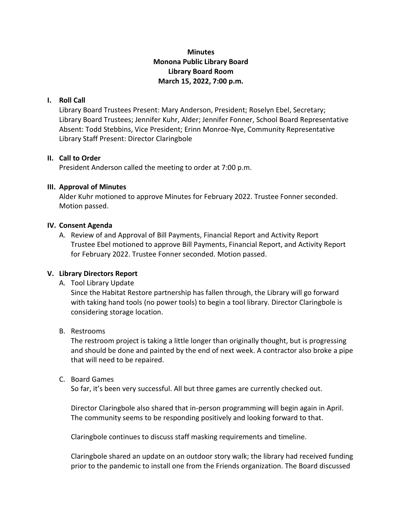# **Minutes Monona Public Library Board Library Board Room March 15, 2022, 7:00 p.m.**

### **I. Roll Call**

Library Board Trustees Present: Mary Anderson, President; Roselyn Ebel, Secretary; Library Board Trustees; Jennifer Kuhr, Alder; Jennifer Fonner, School Board Representative Absent: Todd Stebbins, Vice President; Erinn Monroe-Nye, Community Representative Library Staff Present: Director Claringbole

#### **II. Call to Order**

President Anderson called the meeting to order at 7:00 p.m.

### **III. Approval of Minutes**

Alder Kuhr motioned to approve Minutes for February 2022. Trustee Fonner seconded. Motion passed.

### **IV. Consent Agenda**

A. Review of and Approval of Bill Payments, Financial Report and Activity Report Trustee Ebel motioned to approve Bill Payments, Financial Report, and Activity Report for February 2022. Trustee Fonner seconded. Motion passed.

## **V. Library Directors Report**

A. Tool Library Update

Since the Habitat Restore partnership has fallen through, the Library will go forward with taking hand tools (no power tools) to begin a tool library. Director Claringbole is considering storage location.

B. Restrooms

The restroom project is taking a little longer than originally thought, but is progressing and should be done and painted by the end of next week. A contractor also broke a pipe that will need to be repaired.

#### C. Board Games

So far, it's been very successful. All but three games are currently checked out.

Director Claringbole also shared that in-person programming will begin again in April. The community seems to be responding positively and looking forward to that.

Claringbole continues to discuss staff masking requirements and timeline.

Claringbole shared an update on an outdoor story walk; the library had received funding prior to the pandemic to install one from the Friends organization. The Board discussed